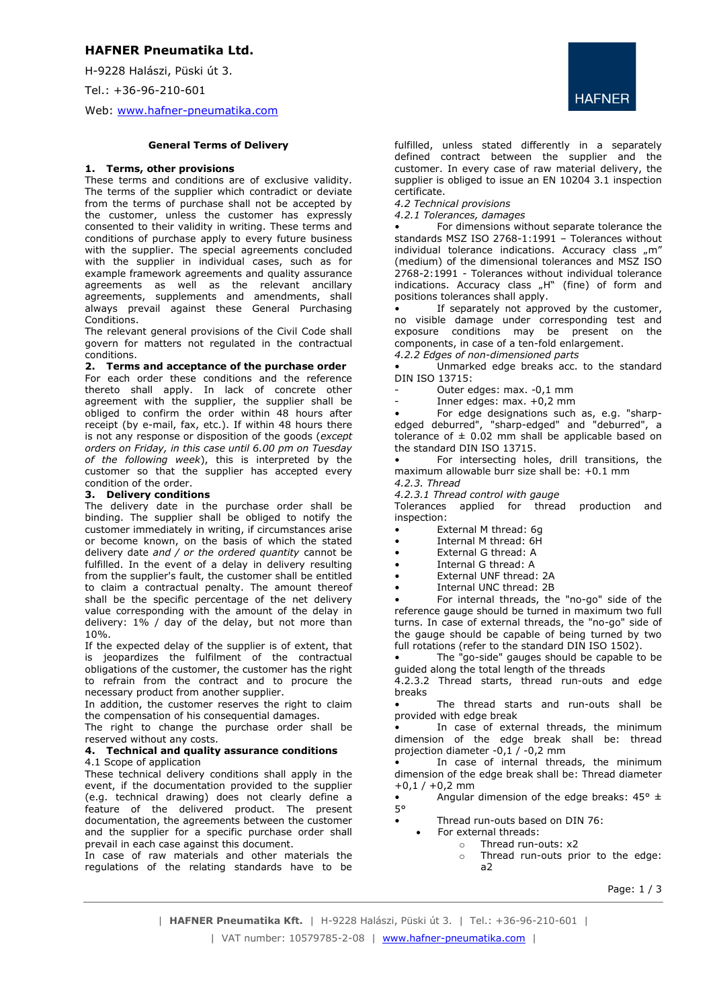# **HAFNER Pneumatika Ltd.**

H-9228 Halászi, Püski út 3. Tel.: +36-96-210-601

Web: [www.hafner-pneumatika.com](http://www.hafner-pneumatika.com/)

## **General Terms of Delivery**

### **1. Terms, other provisions**

These terms and conditions are of exclusive validity. The terms of the supplier which contradict or deviate from the terms of purchase shall not be accepted by the customer, unless the customer has expressly consented to their validity in writing. These terms and conditions of purchase apply to every future business with the supplier. The special agreements concluded with the supplier in individual cases, such as for example framework agreements and quality assurance agreements as well as the relevant ancillary agreements, supplements and amendments, shall always prevail against these General Purchasing Conditions.

The relevant general provisions of the Civil Code shall govern for matters not regulated in the contractual conditions.

### **2. Terms and acceptance of the purchase order**

For each order these conditions and the reference thereto shall apply. In lack of concrete other agreement with the supplier, the supplier shall be obliged to confirm the order within 48 hours after receipt (by e-mail, fax, etc.). If within 48 hours there is not any response or disposition of the goods (*except orders on Friday, in this case until 6.00 pm on Tuesday of the following week*), this is interpreted by the customer so that the supplier has accepted every condition of the order.

### **3. Delivery conditions**

The delivery date in the purchase order shall be binding. The supplier shall be obliged to notify the customer immediately in writing, if circumstances arise or become known, on the basis of which the stated delivery date *and / or the ordered quantity* cannot be fulfilled. In the event of a delay in delivery resulting from the supplier's fault, the customer shall be entitled to claim a contractual penalty. The amount thereof shall be the specific percentage of the net delivery value corresponding with the amount of the delay in delivery: 1% / day of the delay, but not more than 10%.

If the expected delay of the supplier is of extent, that is jeopardizes the fulfilment of the contractual obligations of the customer, the customer has the right to refrain from the contract and to procure the necessary product from another supplier.

In addition, the customer reserves the right to claim the compensation of his consequential damages.

The right to change the purchase order shall be reserved without any costs.

#### **4. Technical and quality assurance conditions** 4.1 Scope of application

These technical delivery conditions shall apply in the event, if the documentation provided to the supplier (e.g. technical drawing) does not clearly define a feature of the delivered product. The present documentation, the agreements between the customer and the supplier for a specific purchase order shall prevail in each case against this document.

In case of raw materials and other materials the regulations of the relating standards have to be



fulfilled, unless stated differently in a separately defined contract between the supplier and the customer. In every case of raw material delivery, the supplier is obliged to issue an EN 10204 3.1 inspection certificate.

*4.2 Technical provisions*

*4.2.1 Tolerances, damages*

For dimensions without separate tolerance the standards MSZ ISO 2768-1:1991 – Tolerances without individual tolerance indications. Accuracy class "m" (medium) of the dimensional tolerances and MSZ ISO 2768-2:1991 - Tolerances without individual tolerance indications. Accuracy class "H" (fine) of form and positions tolerances shall apply.

If separately not approved by the customer, no visible damage under corresponding test and exposure conditions may be present on the components, in case of a ten-fold enlargement. *4.2.2 Edges of non-dimensioned parts*

Unmarked edge breaks acc. to the standard DIN ISO 13715:

- Outer edges: max. -0,1 mm
- Inner edges:  $max. +0.2$  mm

• For edge designations such as, e.g. "sharpedged deburred", "sharp-edged" and "deburred", a tolerance of  $\pm$  0.02 mm shall be applicable based on the standard DIN ISO 13715.

For intersecting holes, drill transitions, the maximum allowable burr size shall be: +0.1 mm

*4.2.3. Thread 4.2.3.1 Thread control with gauge*

Tolerances applied for thread production and inspection:

- External M thread: 6g
- Internal M thread: 6H
- External G thread: A
- Internal G thread: A
- External UNF thread: 2A
- Internal UNC thread: 2B

• For internal threads, the "no-go" side of the reference gauge should be turned in maximum two full turns. In case of external threads, the "no-go" side of the gauge should be capable of being turned by two full rotations (refer to the standard DIN ISO 1502).

• The "go-side" gauges should be capable to be guided along the total length of the threads 4.2.3.2 Thread starts, thread run-outs and edge

breaks

• The thread starts and run-outs shall be provided with edge break

In case of external threads, the minimum dimension of the edge break shall be: thread projection diameter  $-0.1$  /  $-0.2$  mm

In case of internal threads, the minimum dimension of the edge break shall be: Thread diameter  $+0,1 / +0,2$  mm

Angular dimension of the edge breaks:  $45^{\circ}$  ±

• Thread run-outs based on DIN 76:

- For external threads:
	- o Thread run-outs: x2
	- o Thread run-outs prior to the edge: a2

Page: 1 / 3

 $5°$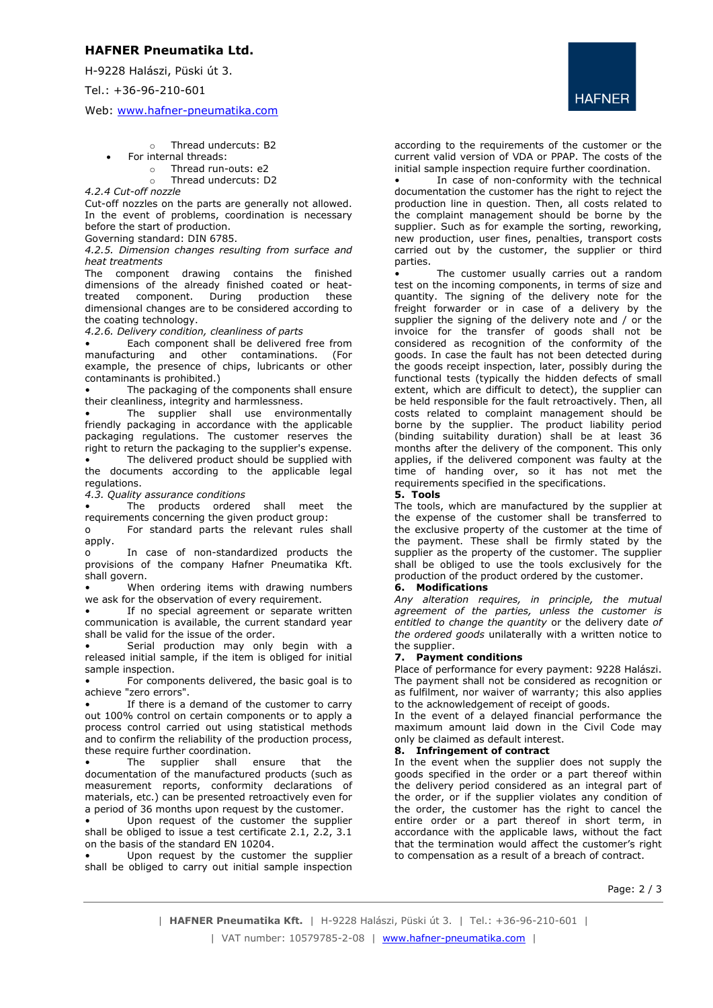# **HAFNER Pneumatika Ltd.**

H-9228 Halászi, Püski út 3.

Tel.: +36-96-210-601

Web: [www.hafner-pneumatika.com](http://www.hafner-pneumatika.com/)

- o Thread undercuts: B2
- For internal threads:
	- o Thread run-outs: e2
	- o Thread undercuts: D2

*4.2.4 Cut-off nozzle*

Cut-off nozzles on the parts are generally not allowed. In the event of problems, coordination is necessary before the start of production.

Governing standard: DIN 6785.

*4.2.5. Dimension changes resulting from surface and heat treatments*

The component drawing contains the finished dimensions of the already finished coated or heat-<br>treated component. During production these treated component. During production these dimensional changes are to be considered according to the coating technology.

*4.2.6. Delivery condition, cleanliness of parts*

Each component shall be delivered free from manufacturing and other contaminations. (For example, the presence of chips, lubricants or other contaminants is prohibited.)

The packaging of the components shall ensure their cleanliness, integrity and harmlessness.

The supplier shall use environmentally friendly packaging in accordance with the applicable packaging regulations. The customer reserves the right to return the packaging to the supplier's expense.

The delivered product should be supplied with the documents according to the applicable legal regulations.

*4.3. Quality assurance conditions*

The products ordered shall meet the requirements concerning the given product group:

o For standard parts the relevant rules shall apply.

o In case of non-standardized products the provisions of the company Hafner Pneumatika Kft. shall govern.

When ordering items with drawing numbers we ask for the observation of every requirement.

If no special agreement or separate written communication is available, the current standard year shall be valid for the issue of the order.

Serial production may only begin with a released initial sample, if the item is obliged for initial sample inspection.

• For components delivered, the basic goal is to achieve "zero errors".

If there is a demand of the customer to carry out 100% control on certain components or to apply a process control carried out using statistical methods and to confirm the reliability of the production process, these require further coordination.

The supplier shall ensure that the documentation of the manufactured products (such as measurement reports, conformity declarations of materials, etc.) can be presented retroactively even for a period of 36 months upon request by the customer.

Upon request of the customer the supplier shall be obliged to issue a test certificate 2.1, 2.2, 3.1 on the basis of the standard EN 10204.

Upon request by the customer the supplier shall be obliged to carry out initial sample inspection **HAFNER** 

according to the requirements of the customer or the current valid version of VDA or PPAP. The costs of the initial sample inspection require further coordination.

In case of non-conformity with the technical documentation the customer has the right to reject the production line in question. Then, all costs related to the complaint management should be borne by the supplier. Such as for example the sorting, reworking, new production, user fines, penalties, transport costs carried out by the customer, the supplier or third parties.

The customer usually carries out a random test on the incoming components, in terms of size and quantity. The signing of the delivery note for the freight forwarder or in case of a delivery by the supplier the signing of the delivery note and / or the invoice for the transfer of goods shall not be considered as recognition of the conformity of the goods. In case the fault has not been detected during the goods receipt inspection, later, possibly during the functional tests (typically the hidden defects of small extent, which are difficult to detect), the supplier can be held responsible for the fault retroactively. Then, all costs related to complaint management should be borne by the supplier. The product liability period (binding suitability duration) shall be at least 36 months after the delivery of the component. This only applies, if the delivered component was faulty at the time of handing over, so it has not met the requirements specified in the specifications.

**5. Tools**

The tools, which are manufactured by the supplier at the expense of the customer shall be transferred to the exclusive property of the customer at the time of the payment. These shall be firmly stated by the supplier as the property of the customer. The supplier shall be obliged to use the tools exclusively for the production of the product ordered by the customer.

## **6. Modifications**

*Any alteration requires, in principle, the mutual agreement of the parties, unless the customer is entitled to change the quantity* or the delivery date *of the ordered goods* unilaterally with a written notice to the supplier.

## **7. Payment conditions**

Place of performance for every payment: 9228 Halászi. The payment shall not be considered as recognition or as fulfilment, nor waiver of warranty; this also applies to the acknowledgement of receipt of goods.

In the event of a delaved financial performance the maximum amount laid down in the Civil Code may only be claimed as default interest.

## **8. Infringement of contract**

In the event when the supplier does not supply the goods specified in the order or a part thereof within the delivery period considered as an integral part of the order, or if the supplier violates any condition of the order, the customer has the right to cancel the entire order or a part thereof in short term, in accordance with the applicable laws, without the fact that the termination would affect the customer's right to compensation as a result of a breach of contract.

Page: 2 / 3